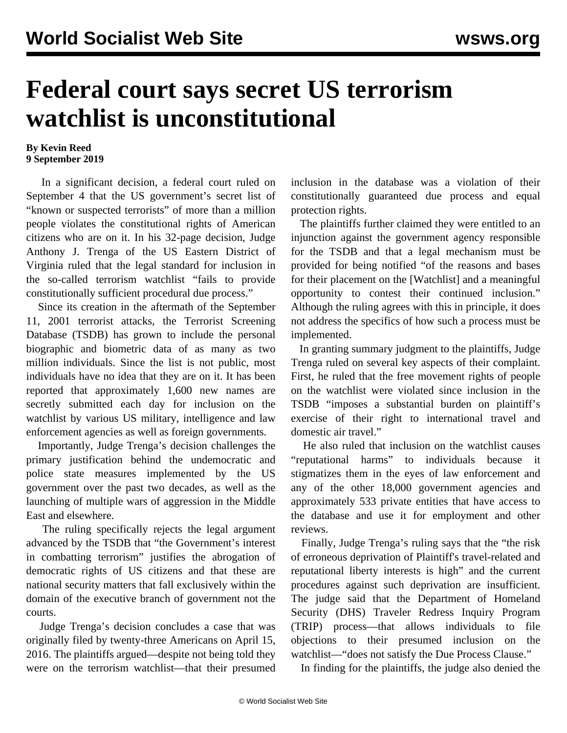## **Federal court says secret US terrorism watchlist is unconstitutional**

## **By Kevin Reed 9 September 2019**

 In a significant decision, a federal court ruled on September 4 that the US government's secret list of "known or suspected terrorists" of more than a million people violates the constitutional rights of American citizens who are on it. In his 32-page decision, Judge Anthony J. Trenga of the US Eastern District of Virginia ruled that the legal standard for inclusion in the so-called terrorism watchlist "fails to provide constitutionally sufficient procedural due process."

 Since its creation in the aftermath of the September 11, 2001 terrorist attacks, the Terrorist Screening Database (TSDB) has grown to include the personal biographic and biometric data of as many as two million individuals. Since the list is not public, most individuals have no idea that they are on it. It has been reported that approximately 1,600 new names are secretly submitted each day for inclusion on the watchlist by various US military, intelligence and law enforcement agencies as well as foreign governments.

 Importantly, Judge Trenga's decision challenges the primary justification behind the undemocratic and police state measures implemented by the US government over the past two decades, as well as the launching of multiple wars of aggression in the Middle East and elsewhere.

 The ruling specifically rejects the legal argument advanced by the TSDB that "the Government's interest in combatting terrorism" justifies the abrogation of democratic rights of US citizens and that these are national security matters that fall exclusively within the domain of the executive branch of government not the courts.

 Judge Trenga's decision concludes a case that was originally filed by twenty-three Americans on April 15, 2016. The plaintiffs argued—despite not being told they were on the terrorism watchlist—that their presumed inclusion in the database was a violation of their constitutionally guaranteed due process and equal protection rights.

 The plaintiffs further claimed they were entitled to an injunction against the government agency responsible for the TSDB and that a legal mechanism must be provided for being notified "of the reasons and bases for their placement on the [Watchlist] and a meaningful opportunity to contest their continued inclusion." Although the ruling agrees with this in principle, it does not address the specifics of how such a process must be implemented.

 In granting summary judgment to the plaintiffs, Judge Trenga ruled on several key aspects of their complaint. First, he ruled that the free movement rights of people on the watchlist were violated since inclusion in the TSDB "imposes a substantial burden on plaintiff's exercise of their right to international travel and domestic air travel."

 He also ruled that inclusion on the watchlist causes "reputational harms" to individuals because it stigmatizes them in the eyes of law enforcement and any of the other 18,000 government agencies and approximately 533 private entities that have access to the database and use it for employment and other reviews.

 Finally, Judge Trenga's ruling says that the "the risk of erroneous deprivation of Plaintiff's travel-related and reputational liberty interests is high" and the current procedures against such deprivation are insufficient. The judge said that the Department of Homeland Security (DHS) Traveler Redress Inquiry Program (TRIP) process—that allows individuals to file objections to their presumed inclusion on the watchlist—"does not satisfy the Due Process Clause."

In finding for the plaintiffs, the judge also denied the